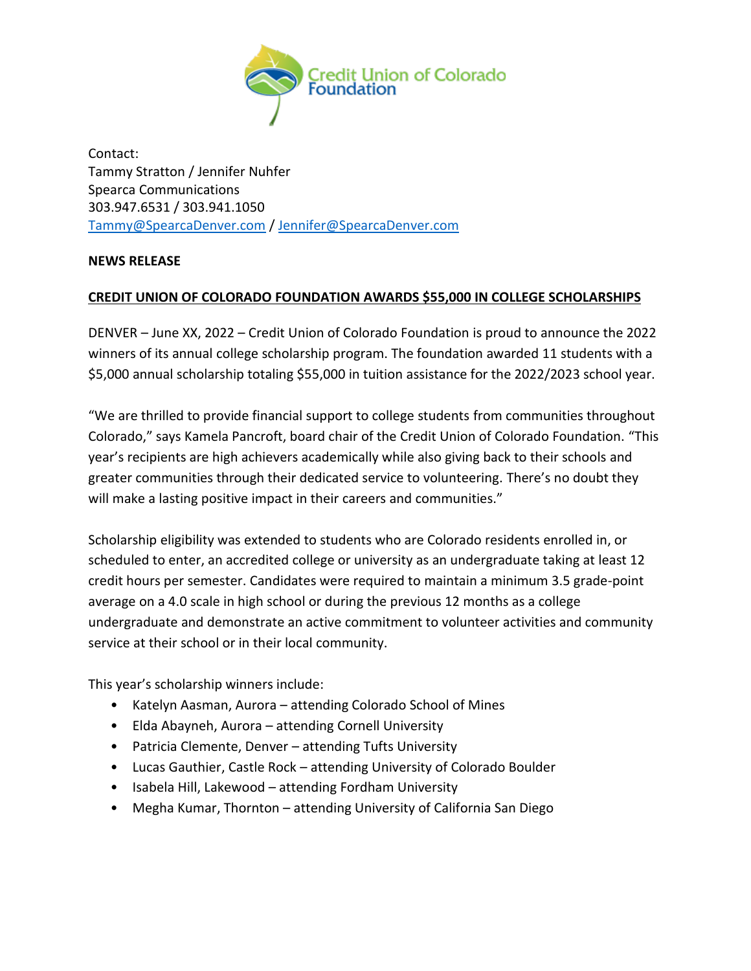

Contact: Tammy Stratton / Jennifer Nuhfer Spearca Communications 303.947.6531 / 303.941.1050 [Tammy@SpearcaDenver.com](mailto:Tammy@SpearcaDenver.com) / [Jennifer@SpearcaDenver.com](mailto:Jennifer@SpearcaDenver.com)

## **NEWS RELEASE**

## **CREDIT UNION OF COLORADO FOUNDATION AWARDS \$55,000 IN COLLEGE SCHOLARSHIPS**

DENVER – June XX, 2022 – Credit Union of Colorado Foundation is proud to announce the 2022 winners of its annual college scholarship program. The foundation awarded 11 students with a \$5,000 annual scholarship totaling \$55,000 in tuition assistance for the 2022/2023 school year.

"We are thrilled to provide financial support to college students from communities throughout Colorado," says Kamela Pancroft, board chair of the Credit Union of Colorado Foundation. "This year's recipients are high achievers academically while also giving back to their schools and greater communities through their dedicated service to volunteering. There's no doubt they will make a lasting positive impact in their careers and communities."

Scholarship eligibility was extended to students who are Colorado residents enrolled in, or scheduled to enter, an accredited college or university as an undergraduate taking at least 12 credit hours per semester. Candidates were required to maintain a minimum 3.5 grade-point average on a 4.0 scale in high school or during the previous 12 months as a college undergraduate and demonstrate an active commitment to volunteer activities and community service at their school or in their local community.

This year's scholarship winners include:

- Katelyn Aasman, Aurora attending Colorado School of Mines
- Elda Abayneh, Aurora attending Cornell University
- Patricia Clemente, Denver attending Tufts University
- Lucas Gauthier, Castle Rock attending University of Colorado Boulder
- Isabela Hill, Lakewood attending Fordham University
- Megha Kumar, Thornton attending University of California San Diego